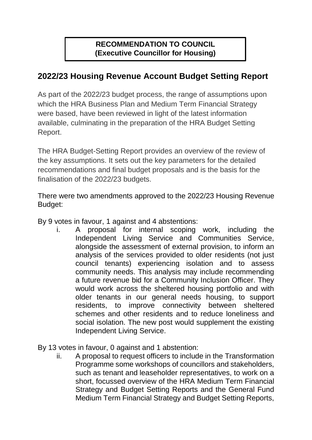## **RECOMMENDATION TO COUNCIL (Executive Councillor for Housing)**

## **2022/23 Housing Revenue Account Budget Setting Report**

As part of the 2022/23 budget process, the range of assumptions upon which the HRA Business Plan and Medium Term Financial Strategy were based, have been reviewed in light of the latest information available, culminating in the preparation of the HRA Budget Setting Report.

The HRA Budget-Setting Report provides an overview of the review of the key assumptions. It sets out the key parameters for the detailed recommendations and final budget proposals and is the basis for the finalisation of the 2022/23 budgets.

There were two amendments approved to the 2022/23 Housing Revenue Budget:

By 9 votes in favour, 1 against and 4 abstentions:

- i. A proposal for internal scoping work, including the Independent Living Service and Communities Service, alongside the assessment of external provision, to inform an analysis of the services provided to older residents (not just council tenants) experiencing isolation and to assess community needs. This analysis may include recommending a future revenue bid for a Community Inclusion Officer. They would work across the sheltered housing portfolio and with older tenants in our general needs housing, to support residents, to improve connectivity between sheltered schemes and other residents and to reduce loneliness and social isolation. The new post would supplement the existing Independent Living Service.
- By 13 votes in favour, 0 against and 1 abstention:
	- ii. A proposal to request officers to include in the Transformation Programme some workshops of councillors and stakeholders, such as tenant and leaseholder representatives, to work on a short, focussed overview of the HRA Medium Term Financial Strategy and Budget Setting Reports and the General Fund Medium Term Financial Strategy and Budget Setting Reports,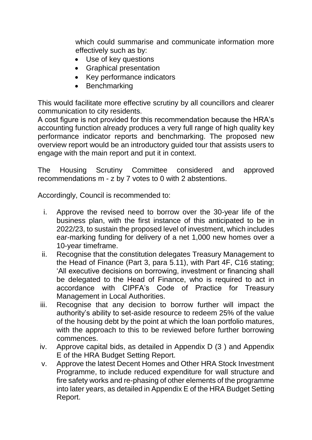which could summarise and communicate information more effectively such as by:

- Use of key questions
- Graphical presentation
- Key performance indicators
- Benchmarking

This would facilitate more effective scrutiny by all councillors and clearer communication to city residents.

A cost figure is not provided for this recommendation because the HRA's accounting function already produces a very full range of high quality key performance indicator reports and benchmarking. The proposed new overview report would be an introductory guided tour that assists users to engage with the main report and put it in context.

The Housing Scrutiny Committee considered and approved recommendations m - z by 7 votes to 0 with 2 abstentions.

Accordingly, Council is recommended to:

- i. Approve the revised need to borrow over the 30-year life of the business plan, with the first instance of this anticipated to be in 2022/23, to sustain the proposed level of investment, which includes ear-marking funding for delivery of a net 1,000 new homes over a 10-year timeframe.
- ii. Recognise that the constitution delegates Treasury Management to the Head of Finance (Part 3, para 5.11), with Part 4F, C16 stating; 'All executive decisions on borrowing, investment or financing shall be delegated to the Head of Finance, who is required to act in accordance with CIPFA's Code of Practice for Treasury Management in Local Authorities.
- iii. Recognise that any decision to borrow further will impact the authority's ability to set-aside resource to redeem 25% of the value of the housing debt by the point at which the loan portfolio matures, with the approach to this to be reviewed before further borrowing commences.
- iv. Approve capital bids, as detailed in Appendix D (3 ) and Appendix E of the HRA Budget Setting Report.
- v. Approve the latest Decent Homes and Other HRA Stock Investment Programme, to include reduced expenditure for wall structure and fire safety works and re-phasing of other elements of the programme into later years, as detailed in Appendix E of the HRA Budget Setting Report.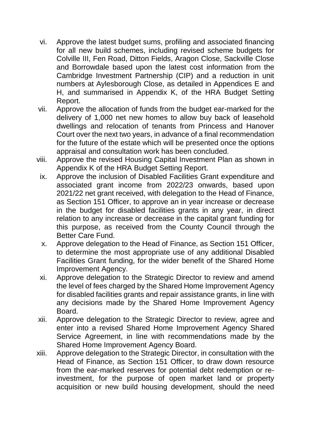- vi. Approve the latest budget sums, profiling and associated financing for all new build schemes, including revised scheme budgets for Colville III, Fen Road, Ditton Fields, Aragon Close, Sackville Close and Borrowdale based upon the latest cost information from the Cambridge Investment Partnership (CIP) and a reduction in unit numbers at Aylesborough Close, as detailed in Appendices E and H, and summarised in Appendix K, of the HRA Budget Setting Report.
- vii. Approve the allocation of funds from the budget ear-marked for the delivery of 1,000 net new homes to allow buy back of leasehold dwellings and relocation of tenants from Princess and Hanover Court over the next two years, in advance of a final recommendation for the future of the estate which will be presented once the options appraisal and consultation work has been concluded.
- viii. Approve the revised Housing Capital Investment Plan as shown in Appendix K of the HRA Budget Setting Report.
- ix. Approve the inclusion of Disabled Facilities Grant expenditure and associated grant income from 2022/23 onwards, based upon 2021/22 net grant received, with delegation to the Head of Finance, as Section 151 Officer, to approve an in year increase or decrease in the budget for disabled facilities grants in any year, in direct relation to any increase or decrease in the capital grant funding for this purpose, as received from the County Council through the Better Care Fund.
- x. Approve delegation to the Head of Finance, as Section 151 Officer, to determine the most appropriate use of any additional Disabled Facilities Grant funding, for the wider benefit of the Shared Home Improvement Agency.
- xi. Approve delegation to the Strategic Director to review and amend the level of fees charged by the Shared Home Improvement Agency for disabled facilities grants and repair assistance grants, in line with any decisions made by the Shared Home Improvement Agency Board.
- xii. Approve delegation to the Strategic Director to review, agree and enter into a revised Shared Home Improvement Agency Shared Service Agreement, in line with recommendations made by the Shared Home Improvement Agency Board.
- xiii. Approve delegation to the Strategic Director, in consultation with the Head of Finance, as Section 151 Officer, to draw down resource from the ear-marked reserves for potential debt redemption or reinvestment, for the purpose of open market land or property acquisition or new build housing development, should the need